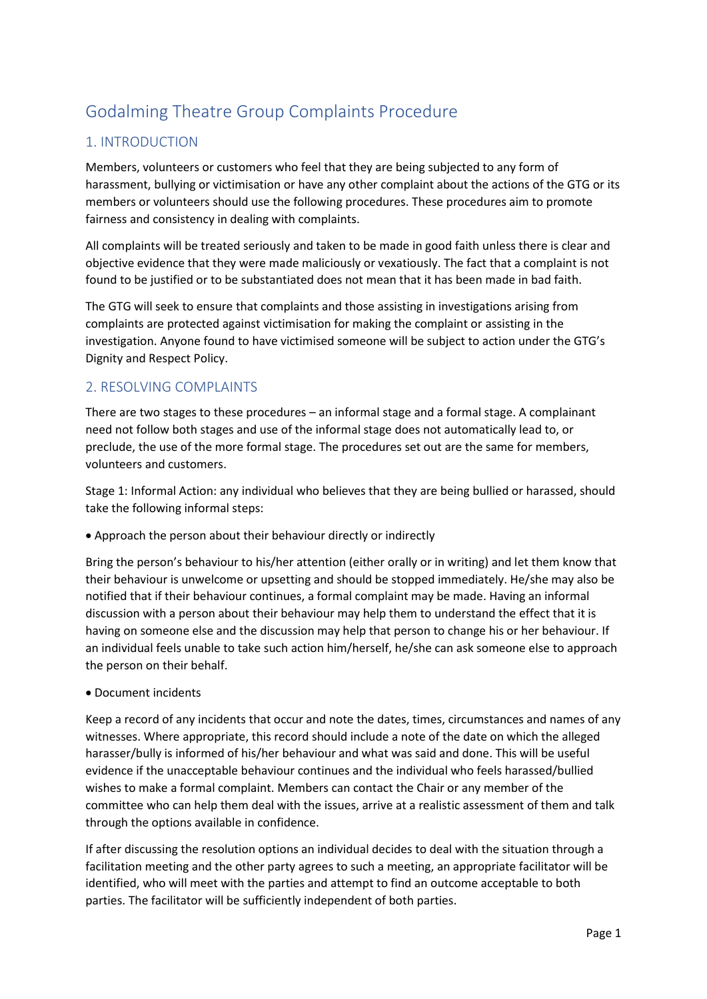# Godalming Theatre Group Complaints Procedure

## 1. INTRODUCTION

Members, volunteers or customers who feel that they are being subjected to any form of harassment, bullying or victimisation or have any other complaint about the actions of the GTG or its members or volunteers should use the following procedures. These procedures aim to promote fairness and consistency in dealing with complaints.

All complaints will be treated seriously and taken to be made in good faith unless there is clear and objective evidence that they were made maliciously or vexatiously. The fact that a complaint is not found to be justified or to be substantiated does not mean that it has been made in bad faith.

The GTG will seek to ensure that complaints and those assisting in investigations arising from complaints are protected against victimisation for making the complaint or assisting in the investigation. Anyone found to have victimised someone will be subject to action under the GTG's Dignity and Respect Policy.

## 2. RESOLVING COMPLAINTS

There are two stages to these procedures – an informal stage and a formal stage. A complainant need not follow both stages and use of the informal stage does not automatically lead to, or preclude, the use of the more formal stage. The procedures set out are the same for members, volunteers and customers.

Stage 1: Informal Action: any individual who believes that they are being bullied or harassed, should take the following informal steps:

• Approach the person about their behaviour directly or indirectly

Bring the person's behaviour to his/her attention (either orally or in writing) and let them know that their behaviour is unwelcome or upsetting and should be stopped immediately. He/she may also be notified that if their behaviour continues, a formal complaint may be made. Having an informal discussion with a person about their behaviour may help them to understand the effect that it is having on someone else and the discussion may help that person to change his or her behaviour. If an individual feels unable to take such action him/herself, he/she can ask someone else to approach the person on their behalf.

• Document incidents

Keep a record of any incidents that occur and note the dates, times, circumstances and names of any witnesses. Where appropriate, this record should include a note of the date on which the alleged harasser/bully is informed of his/her behaviour and what was said and done. This will be useful evidence if the unacceptable behaviour continues and the individual who feels harassed/bullied wishes to make a formal complaint. Members can contact the Chair or any member of the committee who can help them deal with the issues, arrive at a realistic assessment of them and talk through the options available in confidence.

If after discussing the resolution options an individual decides to deal with the situation through a facilitation meeting and the other party agrees to such a meeting, an appropriate facilitator will be identified, who will meet with the parties and attempt to find an outcome acceptable to both parties. The facilitator will be sufficiently independent of both parties.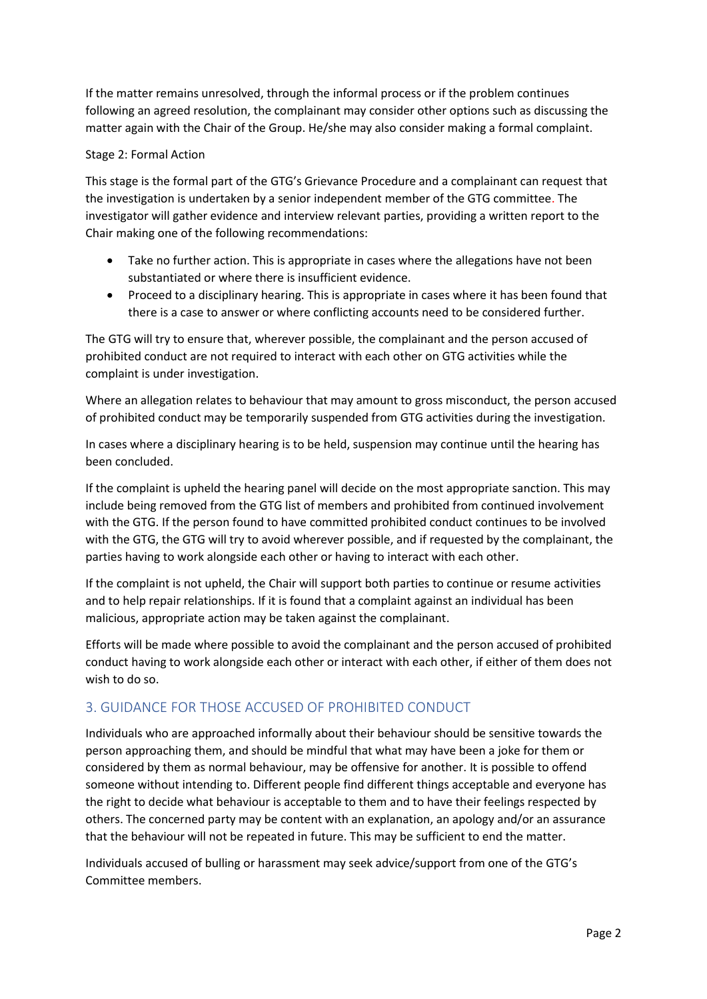If the matter remains unresolved, through the informal process or if the problem continues following an agreed resolution, the complainant may consider other options such as discussing the matter again with the Chair of the Group. He/she may also consider making a formal complaint.

#### Stage 2: Formal Action

This stage is the formal part of the GTG's Grievance Procedure and a complainant can request that the investigation is undertaken by a senior independent member of the GTG committee. The investigator will gather evidence and interview relevant parties, providing a written report to the Chair making one of the following recommendations:

- Take no further action. This is appropriate in cases where the allegations have not been substantiated or where there is insufficient evidence.
- Proceed to a disciplinary hearing. This is appropriate in cases where it has been found that there is a case to answer or where conflicting accounts need to be considered further.

The GTG will try to ensure that, wherever possible, the complainant and the person accused of prohibited conduct are not required to interact with each other on GTG activities while the complaint is under investigation.

Where an allegation relates to behaviour that may amount to gross misconduct, the person accused of prohibited conduct may be temporarily suspended from GTG activities during the investigation.

In cases where a disciplinary hearing is to be held, suspension may continue until the hearing has been concluded.

If the complaint is upheld the hearing panel will decide on the most appropriate sanction. This may include being removed from the GTG list of members and prohibited from continued involvement with the GTG. If the person found to have committed prohibited conduct continues to be involved with the GTG, the GTG will try to avoid wherever possible, and if requested by the complainant, the parties having to work alongside each other or having to interact with each other.

If the complaint is not upheld, the Chair will support both parties to continue or resume activities and to help repair relationships. If it is found that a complaint against an individual has been malicious, appropriate action may be taken against the complainant.

Efforts will be made where possible to avoid the complainant and the person accused of prohibited conduct having to work alongside each other or interact with each other, if either of them does not wish to do so.

## 3. GUIDANCE FOR THOSE ACCUSED OF PROHIBITED CONDUCT

Individuals who are approached informally about their behaviour should be sensitive towards the person approaching them, and should be mindful that what may have been a joke for them or considered by them as normal behaviour, may be offensive for another. It is possible to offend someone without intending to. Different people find different things acceptable and everyone has the right to decide what behaviour is acceptable to them and to have their feelings respected by others. The concerned party may be content with an explanation, an apology and/or an assurance that the behaviour will not be repeated in future. This may be sufficient to end the matter.

Individuals accused of bulling or harassment may seek advice/support from one of the GTG's Committee members.